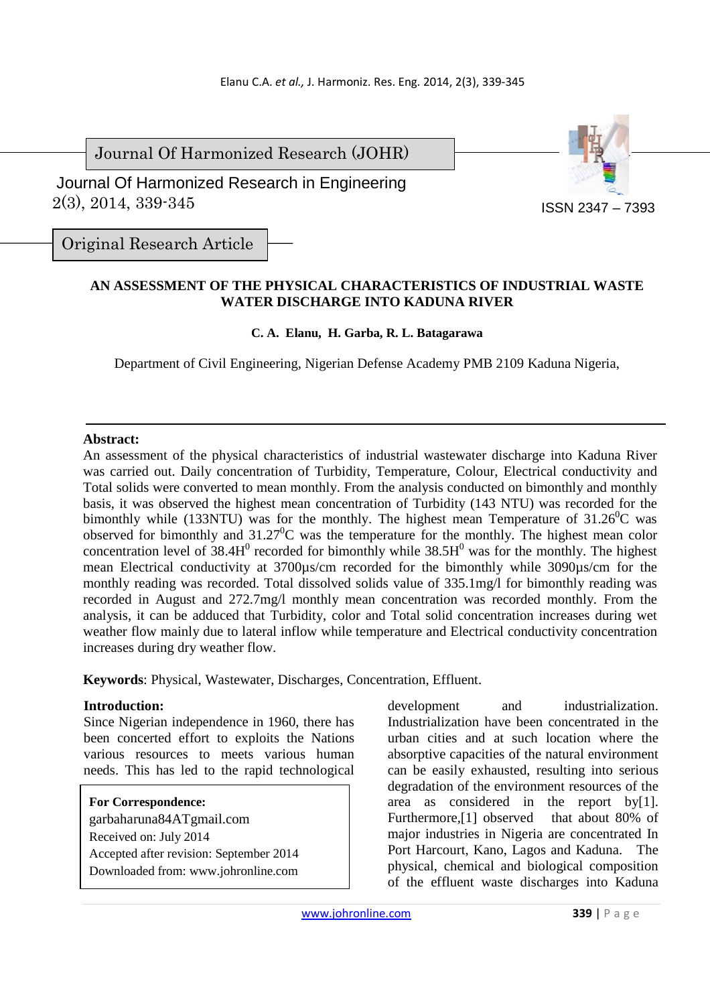Journal Of Harmonized Research (JOHR)

 2(3), 2014, 339-345 Journal Of Harmonized Research in Engineering



Original Research Article

### **AN ASSESSMENT OF THE PHYSICAL CHARACTERISTICS OF INDUSTRIAL WASTE WATER DISCHARGE INTO KADUNA RIVER**

### **C. A. Elanu, H. Garba, R. L. Batagarawa**

Department of Civil Engineering, Nigerian Defense Academy PMB 2109 Kaduna Nigeria,

#### **Abstract:**

An assessment of the physical characteristics of industrial wastewater discharge into Kaduna River was carried out. Daily concentration of Turbidity, Temperature, Colour, Electrical conductivity and Total solids were converted to mean monthly. From the analysis conducted on bimonthly and monthly basis, it was observed the highest mean concentration of Turbidity (143 NTU) was recorded for the bimonthly while (133NTU) was for the monthly. The highest mean Temperature of  $31.26^{\circ}$ C was observed for bimonthly and  $31.27^{\circ}$ C was the temperature for the monthly. The highest mean color concentration level of  $38.4H<sup>0</sup>$  recorded for bimonthly while  $38.5H<sup>0</sup>$  was for the monthly. The highest mean Electrical conductivity at 3700µs/cm recorded for the bimonthly while 3090µs/cm for the monthly reading was recorded. Total dissolved solids value of 335.1mg/l for bimonthly reading was recorded in August and 272.7mg/l monthly mean concentration was recorded monthly. From the analysis, it can be adduced that Turbidity, color and Total solid concentration increases during wet weather flow mainly due to lateral inflow while temperature and Electrical conductivity concentration increases during dry weather flow.

**Keywords**: Physical, Wastewater, Discharges, Concentration, Effluent.

#### **Introduction:**

Since Nigerian independence in 1960, there has been concerted effort to exploits the Nations various resources to meets various human needs. This has led to the rapid technological

#### **For Correspondence:**

garbaharuna84ATgmail.com Received on: July 2014 Accepted after revision: September 2014 Downloaded from: www.johronline.com

development and industrialization. Industrialization have been concentrated in the urban cities and at such location where the absorptive capacities of the natural environment can be easily exhausted, resulting into serious degradation of the environment resources of the area as considered in the report by[1]. Furthermore,<sup>[1]</sup> observed that about 80% of major industries in Nigeria are concentrated In Port Harcourt, Kano, Lagos and Kaduna. The physical, chemical and biological composition of the effluent waste discharges into Kaduna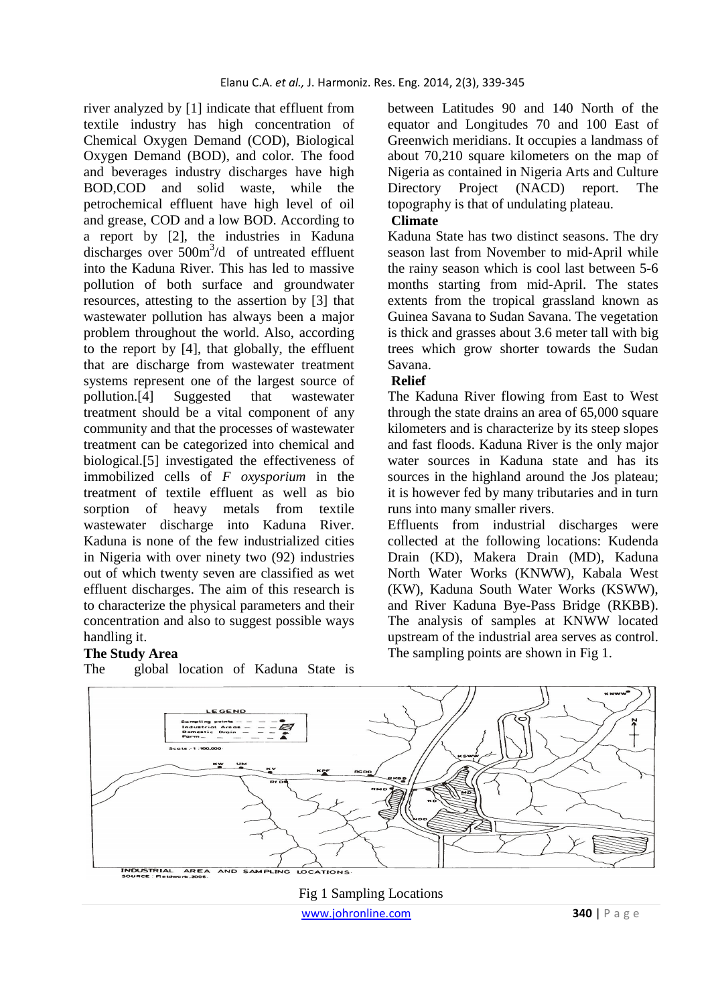river analyzed by [1] indicate that effluent from textile industry has high concentration of Chemical Oxygen Demand (COD), Biological Oxygen Demand (BOD), and color. The food and beverages industry discharges have high BOD,COD and solid waste, while the petrochemical effluent have high level of oil and grease, COD and a low BOD. According to a report by [2], the industries in Kaduna discharges over 500m<sup>3</sup>/d of untreated effluent into the Kaduna River. This has led to massive pollution of both surface and groundwater resources, attesting to the assertion by [3] that wastewater pollution has always been a major problem throughout the world. Also, according to the report by [4], that globally, the effluent that are discharge from wastewater treatment systems represent one of the largest source of pollution.[4] Suggested that wastewater treatment should be a vital component of any community and that the processes of wastewater treatment can be categorized into chemical and biological.[5] investigated the effectiveness of immobilized cells of *F oxysporium* in the treatment of textile effluent as well as bio sorption of heavy metals from textile wastewater discharge into Kaduna River. Kaduna is none of the few industrialized cities in Nigeria with over ninety two (92) industries out of which twenty seven are classified as wet effluent discharges. The aim of this research is to characterize the physical parameters and their concentration and also to suggest possible ways handling it.

#### **The Study Area**

The global location of Kaduna State is

between Latitudes 90 and 140 North of the equator and Longitudes 70 and 100 East of Greenwich meridians. It occupies a landmass of about 70,210 square kilometers on the map of Nigeria as contained in Nigeria Arts and Culture Directory Project (NACD) report. The topography is that of undulating plateau.

### **Climate**

Kaduna State has two distinct seasons. The dry season last from November to mid-April while the rainy season which is cool last between 5-6 months starting from mid-April. The states extents from the tropical grassland known as Guinea Savana to Sudan Savana. The vegetation is thick and grasses about 3.6 meter tall with big trees which grow shorter towards the Sudan Savana.

#### **Relief**

The Kaduna River flowing from East to West through the state drains an area of 65,000 square kilometers and is characterize by its steep slopes and fast floods. Kaduna River is the only major water sources in Kaduna state and has its sources in the highland around the Jos plateau; it is however fed by many tributaries and in turn runs into many smaller rivers.

Effluents from industrial discharges were collected at the following locations: Kudenda Drain (KD), Makera Drain (MD), Kaduna North Water Works (KNWW), Kabala West (KW), Kaduna South Water Works (KSWW), and River Kaduna Bye-Pass Bridge (RKBB). The analysis of samples at KNWW located upstream of the industrial area serves as control. The sampling points are shown in Fig 1.



 www.johronline.com **340** | P a g e Fig 1 Sampling Locations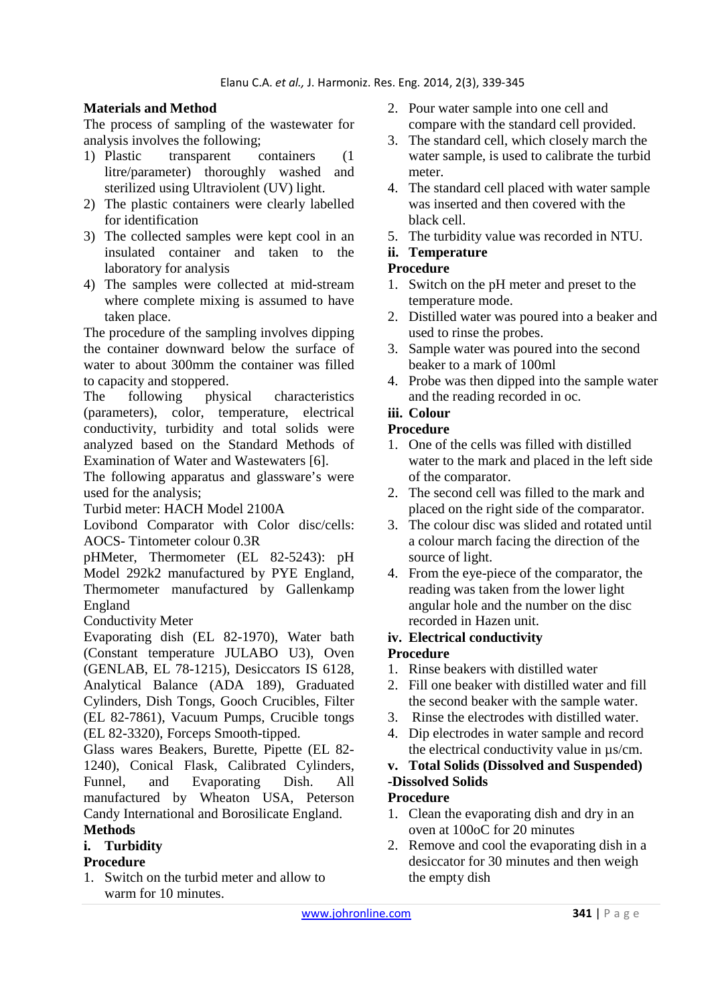# **Materials and Method**

The process of sampling of the wastewater for analysis involves the following;

- 1) Plastic transparent containers (1 litre/parameter) thoroughly washed and sterilized using Ultraviolent (UV) light.
- 2) The plastic containers were clearly labelled for identification
- 3) The collected samples were kept cool in an insulated container and taken to the laboratory for analysis
- 4) The samples were collected at mid-stream where complete mixing is assumed to have taken place.

The procedure of the sampling involves dipping the container downward below the surface of water to about 300mm the container was filled to capacity and stoppered.

The following physical characteristics (parameters), color, temperature, electrical conductivity, turbidity and total solids were analyzed based on the Standard Methods of Examination of Water and Wastewaters [6].

The following apparatus and glassware's were used for the analysis;

Turbid meter: HACH Model 2100A

Lovibond Comparator with Color disc/cells: AOCS- Tintometer colour 0.3R

pHMeter, Thermometer (EL 82-5243): pH Model 292k2 manufactured by PYE England, Thermometer manufactured by Gallenkamp England

Conductivity Meter

Evaporating dish (EL 82-1970), Water bath (Constant temperature JULABO U3), Oven (GENLAB, EL 78-1215), Desiccators IS 6128, Analytical Balance (ADA 189), Graduated Cylinders, Dish Tongs, Gooch Crucibles, Filter (EL 82-7861), Vacuum Pumps, Crucible tongs (EL 82-3320), Forceps Smooth-tipped.

Glass wares Beakers, Burette, Pipette (EL 82- 1240), Conical Flask, Calibrated Cylinders, Funnel, and Evaporating Dish. All manufactured by Wheaton USA, Peterson Candy International and Borosilicate England.

# **Methods**

**i. Turbidity** 

## **Procedure**

1. Switch on the turbid meter and allow to warm for 10 minutes.

- 2. Pour water sample into one cell and compare with the standard cell provided.
- 3. The standard cell, which closely march the water sample, is used to calibrate the turbid meter.
- 4. The standard cell placed with water sample was inserted and then covered with the black cell.
- 5. The turbidity value was recorded in NTU.

### **ii. Temperature**

### **Procedure**

- 1. Switch on the pH meter and preset to the temperature mode.
- 2. Distilled water was poured into a beaker and used to rinse the probes.
- 3. Sample water was poured into the second beaker to a mark of 100ml
- 4. Probe was then dipped into the sample water and the reading recorded in oc.

# **iii. Colour**

#### **Procedure**

- 1. One of the cells was filled with distilled water to the mark and placed in the left side of the comparator.
- 2. The second cell was filled to the mark and placed on the right side of the comparator.
- 3. The colour disc was slided and rotated until a colour march facing the direction of the source of light.
- 4. From the eye-piece of the comparator, the reading was taken from the lower light angular hole and the number on the disc recorded in Hazen unit.

### **iv. Electrical conductivity**

### **Procedure**

- 1. Rinse beakers with distilled water
- 2. Fill one beaker with distilled water and fill the second beaker with the sample water.
- 3. Rinse the electrodes with distilled water.
- 4. Dip electrodes in water sample and record the electrical conductivity value in µs/cm.

### **v. Total Solids (Dissolved and Suspended) -Dissolved Solids**

### **Procedure**

- 1. Clean the evaporating dish and dry in an oven at 100oC for 20 minutes
- 2. Remove and cool the evaporating dish in a desiccator for 30 minutes and then weigh the empty dish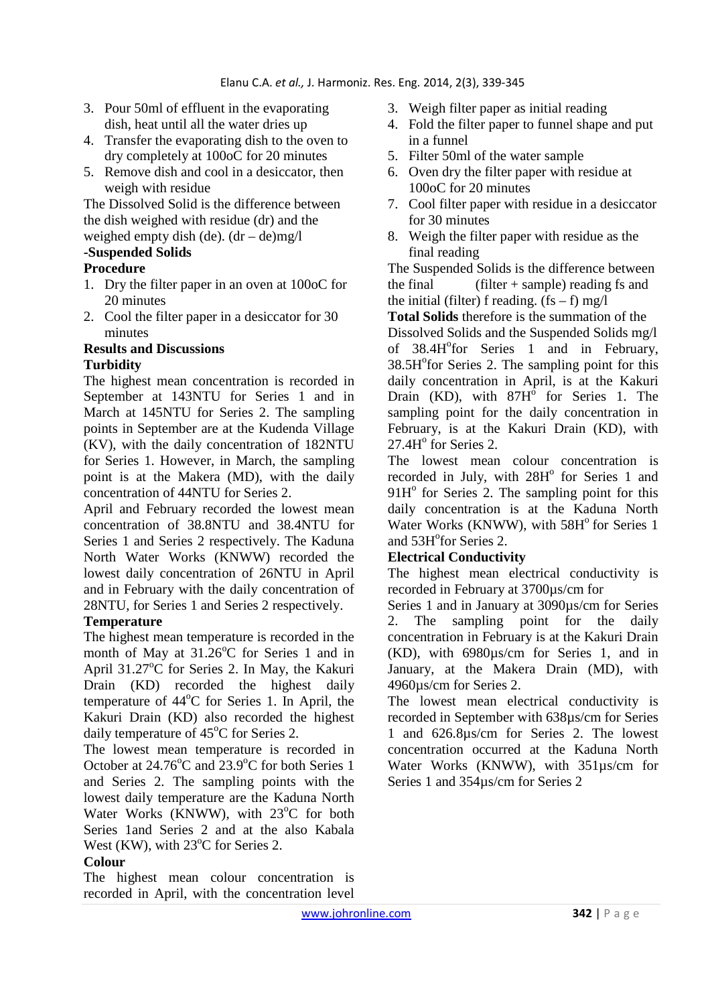- 3. Pour 50ml of effluent in the evaporating dish, heat until all the water dries up
- 4. Transfer the evaporating dish to the oven to dry completely at 100oC for 20 minutes
- 5. Remove dish and cool in a desiccator, then weigh with residue

The Dissolved Solid is the difference between the dish weighed with residue (dr) and the weighed empty dish (de).  $(dr - de)mg/1$ 

### **-Suspended Solids**

### **Procedure**

- 1. Dry the filter paper in an oven at 100oC for 20 minutes
- 2. Cool the filter paper in a desiccator for 30 minutes

#### **Results and Discussions Turbidity**

The highest mean concentration is recorded in September at 143NTU for Series 1 and in March at 145NTU for Series 2. The sampling points in September are at the Kudenda Village (KV), with the daily concentration of 182NTU for Series 1. However, in March, the sampling point is at the Makera (MD), with the daily concentration of 44NTU for Series 2.

April and February recorded the lowest mean concentration of 38.8NTU and 38.4NTU for Series 1 and Series 2 respectively. The Kaduna North Water Works (KNWW) recorded the lowest daily concentration of 26NTU in April and in February with the daily concentration of 28NTU, for Series 1 and Series 2 respectively.

### **Temperature**

The highest mean temperature is recorded in the month of May at  $31.26^{\circ}$ C for Series 1 and in April 31.27°C for Series 2. In May, the Kakuri Drain (KD) recorded the highest daily temperature of  $44^{\circ}$ C for Series 1. In April, the Kakuri Drain (KD) also recorded the highest daily temperature of  $45^{\circ}$ C for Series 2.

The lowest mean temperature is recorded in October at  $24.76^{\circ}$ C and  $23.9^{\circ}$ C for both Series 1 and Series 2. The sampling points with the lowest daily temperature are the Kaduna North Water Works (KNWW), with  $23^{\circ}$ C for both Series 1and Series 2 and at the also Kabala West (KW), with  $23^{\circ}$ C for Series 2.

### **Colour**

The highest mean colour concentration is recorded in April, with the concentration level

- 3. Weigh filter paper as initial reading
- 4. Fold the filter paper to funnel shape and put in a funnel
- 5. Filter 50ml of the water sample
- 6. Oven dry the filter paper with residue at 100oC for 20 minutes
- 7. Cool filter paper with residue in a desiccator for 30 minutes
- 8. Weigh the filter paper with residue as the final reading

The Suspended Solids is the difference between the final (filter + sample) reading fs and the initial (filter) f reading.  $(fs - f)$  mg/l

**Total Solids** therefore is the summation of the Dissolved Solids and the Suspended Solids mg/l of 38.4H<sup>o</sup>for Series 1 and in February, 38.5H<sup>o</sup>for Series 2. The sampling point for this daily concentration in April, is at the Kakuri Drain (KD), with  $87H^{\circ}$  for Series 1. The sampling point for the daily concentration in February, is at the Kakuri Drain (KD), with  $27.4H<sup>o</sup>$  for Series 2.

The lowest mean colour concentration is recorded in July, with 28H<sup>°</sup> for Series 1 and  $91H<sup>o</sup>$  for Series 2. The sampling point for this daily concentration is at the Kaduna North Water Works (KNWW), with  $58H<sup>o</sup>$  for Series 1 and 53H° for Series 2.

#### **Electrical Conductivity**

The highest mean electrical conductivity is recorded in February at 3700µs/cm for

Series 1 and in January at 3090µs/cm for Series 2. The sampling point for the daily concentration in February is at the Kakuri Drain (KD), with 6980µs/cm for Series 1, and in January, at the Makera Drain (MD), with 4960µs/cm for Series 2.

The lowest mean electrical conductivity is recorded in September with 638µs/cm for Series 1 and 626.8µs/cm for Series 2. The lowest concentration occurred at the Kaduna North Water Works (KNWW), with 351µs/cm for Series 1 and 354µs/cm for Series 2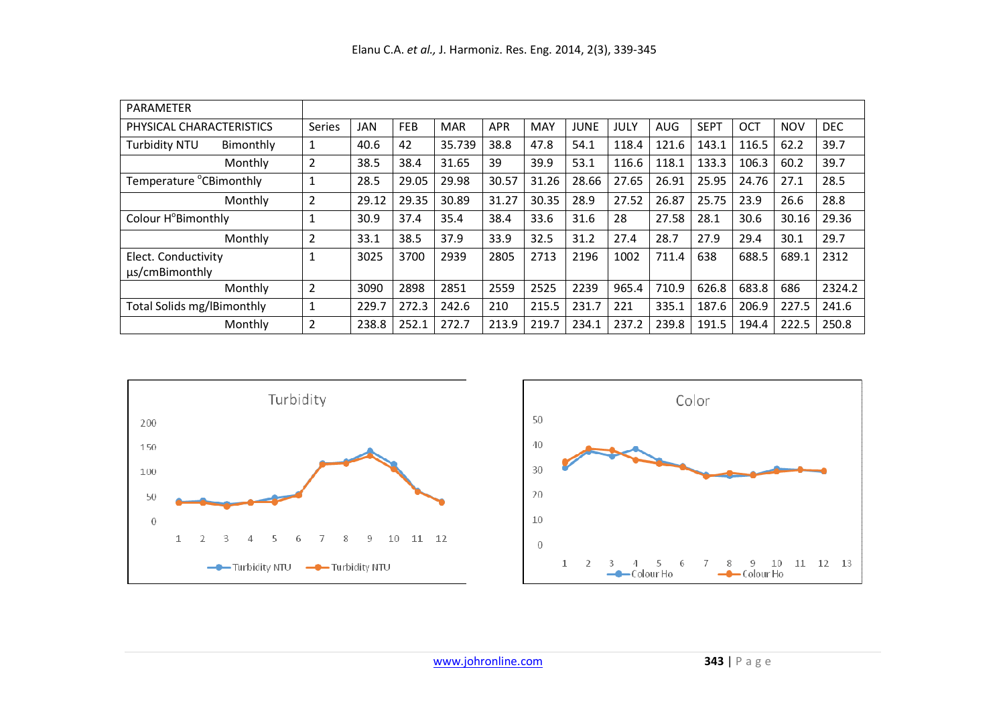| PARAMETER                             |                |       |            |            |            |            |             |       |            |             |       |            |            |
|---------------------------------------|----------------|-------|------------|------------|------------|------------|-------------|-------|------------|-------------|-------|------------|------------|
| PHYSICAL CHARACTERISTICS              | Series         | JAN   | <b>FEB</b> | <b>MAR</b> | <b>APR</b> | <b>MAY</b> | <b>JUNE</b> | JULY  | <b>AUG</b> | <b>SEPT</b> | OCT   | <b>NOV</b> | <b>DEC</b> |
| <b>Turbidity NTU</b><br>Bimonthly     | $\mathbf{1}$   | 40.6  | 42         | 35.739     | 38.8       | 47.8       | 54.1        | 118.4 | 121.6      | 143.1       | 116.5 | 62.2       | 39.7       |
| Monthly                               | $\overline{2}$ | 38.5  | 38.4       | 31.65      | 39         | 39.9       | 53.1        | 116.6 | 118.1      | 133.3       | 106.3 | 60.2       | 39.7       |
| Temperature °CBimonthly               | 1              | 28.5  | 29.05      | 29.98      | 30.57      | 31.26      | 28.66       | 27.65 | 26.91      | 25.95       | 24.76 | 27.1       | 28.5       |
| Monthly                               | $\overline{2}$ | 29.12 | 29.35      | 30.89      | 31.27      | 30.35      | 28.9        | 27.52 | 26.87      | 25.75       | 23.9  | 26.6       | 28.8       |
| Colour H°Bimonthly                    | 1              | 30.9  | 37.4       | 35.4       | 38.4       | 33.6       | 31.6        | 28    | 27.58      | 28.1        | 30.6  | 30.16      | 29.36      |
| Monthly                               | $\overline{2}$ | 33.1  | 38.5       | 37.9       | 33.9       | 32.5       | 31.2        | 27.4  | 28.7       | 27.9        | 29.4  | 30.1       | 29.7       |
| Elect. Conductivity<br>us/cmBimonthly | 1              | 3025  | 3700       | 2939       | 2805       | 2713       | 2196        | 1002  | 711.4      | 638         | 688.5 | 689.1      | 2312       |
| Monthly                               | $\overline{2}$ | 3090  | 2898       | 2851       | 2559       | 2525       | 2239        | 965.4 | 710.9      | 626.8       | 683.8 | 686        | 2324.2     |
| Total Solids mg/lBimonthly            | 1              | 229.7 | 272.3      | 242.6      | 210        | 215.5      | 231.7       | 221   | 335.1      | 187.6       | 206.9 | 227.5      | 241.6      |
| Monthly                               | $\overline{2}$ | 238.8 | 252.1      | 272.7      | 213.9      | 219.7      | 234.1       | 237.2 | 239.8      | 191.5       | 194.4 | 222.5      | 250.8      |



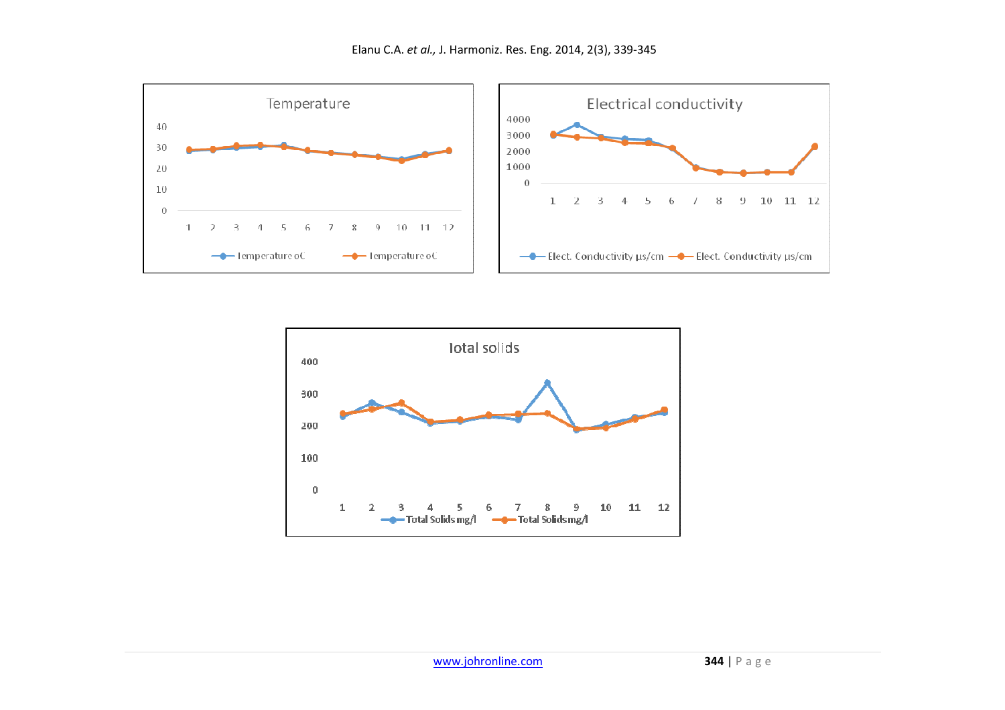